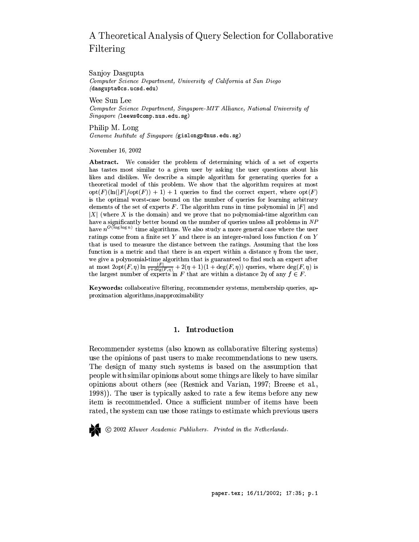# A Theoretical Analysis of Query Selection for Collaborative Filtering

Sanjoy Dasgupta Computer Science Department, University of California at San Diego (dasgupta@cs.ucsd.edu)

Wee Sun Lee

Computer Science Department, Singapore-MIT Alliance, National University of  $Singa pore$  (leews@comp.nus.edu.sg)

Philip M. Long Genome Institute of Singapore (gislongp@nus.edu.sg)

November 16, 2002

Abstract. We consider the problem of determining which of a set of experts has tastes most similar to a given user by asking the user questions about his likes and dislikes. We describe a simple algorithm for generating queries for a theoretical model of this problem. We show that the algorithm requires at most  $opt(F)(\ln(|F|/opt(F))+1)+1$  queries to find the correct expert, where  $opt(F)$ is the optimal worst-case bound on the number of queries for learning arbitrary elements of the set of experts F. The algorithm runs in time polynomial in  $|F|$  and  $|X|$  (where X is the domain) and we prove that no polynomial-time algorithm can have a significantly better bound on the number of queries unless all problems in NP have  $n^{O(\log \log n)}$  time algorithms. We also study a more general case where the user ratings come from a finite set  $Y$  and there is an integer-valued loss function  $\ell$  on  $Y$ that is used to measure the distance between the ratings. Assuming that the loss function is a metric and that there is an expert within a distance  $\eta$  from the user, we give a polynomial-time algorithm that is guaranteed to find such an expert after<br>at most  $2opt(F, \eta) \ln \frac{|F|}{1 + \deg(F, \eta)} + 2(\eta + 1)(1 + \deg(F, \eta))$  queries, where  $\deg(F, \eta)$  is the largest number of experts in F that are within a distance  $2\eta$  of any  $f \in F$ .

Keywords: collaborative filtering, recommender systems, membership queries, approximation algorithms, inapproximability

# 1. Introduction

Recommender systems (also known as collaborative filtering systems) use the opinions of past users to make recommendations to new users. The design of many such systems is based on the assumption that people with similar opinions about some things are likely to have similar opinions about others (see (Resnick and Varian, 1997; Breese et al., 1998). The user is typically asked to rate a few items before any new item is recommended. Once a sufficient number of items have been rated, the system can use those ratings to estimate which previous users

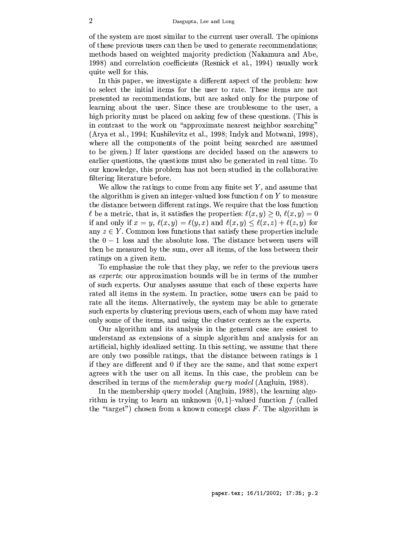of the system are most similar to the current user overall. The opinions of these previous users can then be used to generate recommendations; methods based on weighted majority prediction (Nakamura and Abe, 1998) and correlation coefficients (Resnick et al., 1994) usually work quite well for this.

In this paper, we investigate a different aspect of the problem: how to select the initial items for the user to rate. These items are not presented as recommendations, but are asked only for the purpose of learning about the user. Since these are troublesome to the user, a high priority must be placed on asking few of these questions. (This is in contrast to the work on "approximate nearest neighbor searching" (Arya et al., 1994; Kushilevitz et al., 1998; Indyk and Motwani, 1998), where all the components of the point being searched are assumed to be given.) If later questions are decided based on the answers to earlier questions, the questions must also be generated in real time. To our knowledge, this problem has not been studied in the collaborative filtering literature before.

We allow the ratings to come from any finite set  $Y$ , and assume that the algorithm is given an integer-valued loss function  $\ell$  on Y to measure the distance between different ratings. We require that the loss function  $\ell$  be a metric, that is, it satisfies the properties:  $\ell(x, y) \geq 0$ ,  $\ell(x, y) = 0$ if and only if  $x = y$ ,  $\ell(x, y) = \ell(y, x)$  and  $\ell(x, y) \leq \ell(x, z) + \ell(z, y)$  for any  $z \in Y$ . Common loss functions that satisfy these properties include the  $0-1$  loss and the absolute loss. The distance between users will then be measured by the sum, over all items, of the loss between their ratings on a given item.

To emphasize the role that they play, we refer to the previous users as *experts*; our approximation bounds will be in terms of the number of such experts. Our analyses assume that each of these experts have rated all items in the system. In practice, some users can be paid to rate all the items. Alternatively, the system may be able to generate such experts by clustering previous users, each of whom may have rated only some of the items, and using the cluster centers as the experts.

Our algorithm and its analysis in the general case are easiest to understand as extensions of a simple algorithm and analysis for an artificial, highly idealized setting. In this setting, we assume that there are only two possible ratings, that the distance between ratings is 1 if they are different and 0 if they are the same, and that some expert agrees with the user on all items. In this case, the problem can be described in terms of the *membership query model* (Angluin, 1988).

In the membership query model (Angluin, 1988), the learning algorithm is trying to learn an unknown  $\{0,1\}$ -valued function f (called the "target") chosen from a known concept class  $F$ . The algorithm is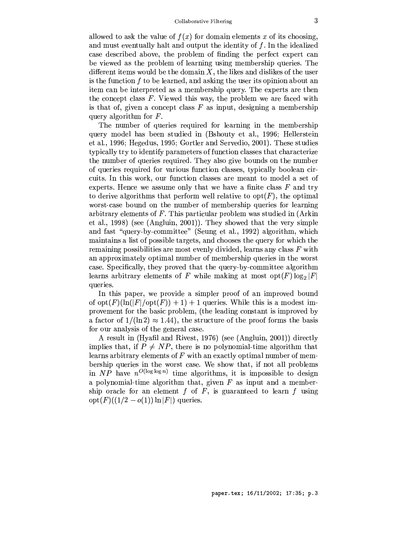allowed to ask the value of  $f(x)$  for domain elements x of its choosing, and must eventually halt and output the identity of  $f$ . In the idealized case described above, the problem of finding the perfect expert can be viewed as the problem of learning using membership queries. The different items would be the domain  $X$ , the likes and dislikes of the user is the function  $f$  to be learned, and asking the user its opinion about an item can be interpreted as a membership query. The experts are then the concept class  $F$ . Viewed this way, the problem we are faced with is that of, given a concept class  $F$  as input, designing a membership query algorithm for  $F$ .

The number of queries required for learning in the membership query model has been studied in (Bshouty et al., 1996; Hellerstein et al., 1996; Hegedus, 1995; Gortler and Servedio, 2001). These studies typically try to identify parameters of function classes that characterize the number of queries required. They also give bounds on the number of queries required for various function classes, typically boolean circuits. In this work, our function classes are meant to model a set of experts. Hence we assume only that we have a finite class  $F$  and try to derive algorithms that perform well relative to  $opt(F)$ , the optimal worst-case bound on the number of membership queries for learning arbitrary elements of  $F$ . This particular problem was studied in (Arkin et al., 1998) (see (Angluin, 2001)). They showed that the very simple and fast "query-by-committee" (Seung et al., 1992) algorithm, which maintains a list of possible targets, and chooses the query for which the remaining possibilities are most evenly divided, learns any class  $F$  with an approximately optimal number of membership queries in the worst case. Specifically, they proved that the query-by-committee algorithm learns arbitrary elements of F while making at most  $opt(F) \log_2 |F|$ queries.

In this paper, we provide a simpler proof of an improved bound of  $opt(F)(\ln(|F|/opt(F))+1)+1$  queries. While this is a modest improvement for the basic problem, (the leading constant is improved by a factor of  $1/(\ln 2) \approx 1.44$ , the structure of the proof forms the basis for our analysis of the general case.

A result in (Hyafil and Rivest, 1976) (see (Angluin, 2001)) directly implies that, if  $P \neq NP$ , there is no polynomial-time algorithm that learns arbitrary elements of  $F$  with an exactly optimal number of membership queries in the worst case. We show that, if not all problems in NP have  $n^{O(\log \log n)}$  time algorithms, it is impossible to design a polynomial-time algorithm that, given  $F$  as input and a membership oracle for an element f of  $F$ , is guaranteed to learn f using  $opt(F)((1/2 - o(1)) \ln |F|)$  queries.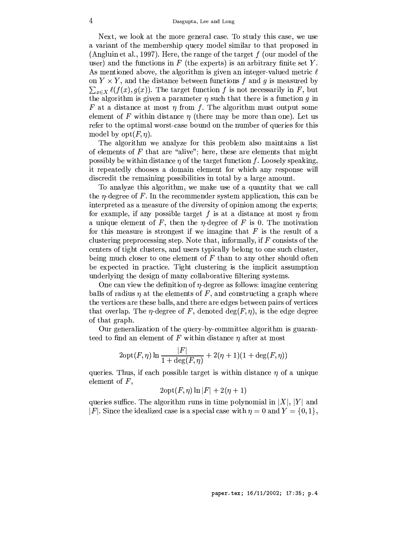Next, we look at the more general case. To study this case, we use a variant of the membership query model similar to that proposed in (Angluin et al., 1997). Here, the range of the target  $f$  (our model of the user) and the functions in  $F$  (the experts) is an arbitrary finite set Y. As mentioned above, the algorithm is given an integer-valued metric  $\ell$ on  $Y \times Y$ , and the distance between functions f and g is measured by  $\sum_{x \in X} \ell(f(x), g(x))$ . The target function f is not necessarily in F, but the algorithm is given a parameter  $\eta$  such that there is a function  $q$  in F at a distance at most  $\eta$  from f. The algorithm must output some element of F within distance  $\eta$  (there may be more than one). Let us refer to the optimal worst-case bound on the number of queries for this model by  $opt(F, \eta)$ .

The algorithm we analyze for this problem also maintains a list of elements of  $F$  that are "alive"; here, these are elements that might possibly be within distance  $\eta$  of the target function f. Loosely speaking, it repeatedly chooses a domain element for which any response will discredit the remaining possibilities in total by a large amount.

To analyze this algorithm, we make use of a quantity that we call the *n*-degree of F. In the recommender system application, this can be interpreted as a measure of the diversity of opinion among the experts; for example, if any possible target  $f$  is at a distance at most  $\eta$  from a unique element of F, then the  $\eta$ -degree of F is 0. The motivation for this measure is strongest if we imagine that  $F$  is the result of a clustering preprocessing step. Note that, informally, if  $F$  consists of the centers of tight clusters, and users typically belong to one such cluster, being much closer to one element of  $F$  than to any other should often be expected in practice. Tight clustering is the implicit assumption underlying the design of many collaborative filtering systems.

One can view the definition of  $\eta$ -degree as follows: imagine centering balls of radius  $\eta$  at the elements of F, and constructing a graph where the vertices are these balls, and there are edges between pairs of vertices that overlap. The  $\eta$ -degree of F, denoted  $\deg(F, \eta)$ , is the edge degree of that graph.

Our generalization of the query-by-committee algorithm is guaranteed to find an element of F within distance  $\eta$  after at most

$$
2\mathrm{opt}(F,\eta)\ln\frac{|F|}{1+\deg(F,\eta)}+2(\eta+1)(1+\deg(F,\eta))
$$

queries. Thus, if each possible target is within distance  $\eta$  of a unique element of  $F$ ,

$$
2\mathrm{opt}(F,\eta)\ln|F|+2(\eta+1)
$$

queries suffice. The algorithm runs in time polynomial in  $|X|$ ,  $|Y|$  and |F|. Since the idealized case is a special case with  $\eta = 0$  and  $Y = \{0, 1\}$ ,

paper.tex; 16/11/2002; 17:35; p.4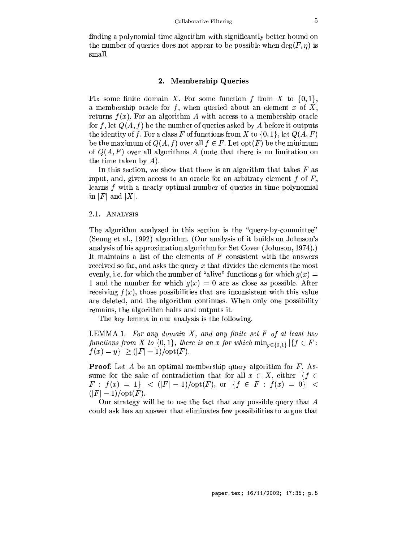finding a polynomial-time algorithm with significantly better bound on the number of queries does not appear to be possible when  $deg(F, \eta)$  is small.

#### $2.$ **Membership Queries**

Fix some finite domain X. For some function f from X to  $\{0,1\}$ , a membership oracle for  $f$ , when queried about an element  $x$  of  $X$ , returns  $f(x)$ . For an algorithm A with access to a membership oracle for f, let  $Q(A, f)$  be the number of queries asked by A before it outputs the identity of f. For a class F of functions from X to  $\{0,1\}$ , let  $Q(A, F)$ be the maximum of  $Q(A, f)$  over all  $f \in F$ . Let opt(F) be the minimum of  $Q(A, F)$  over all algorithms A (note that there is no limitation on the time taken by  $A$ ).

In this section, we show that there is an algorithm that takes  $F$  as input, and, given access to an oracle for an arbitrary element f of  $F$ , learns  $f$  with a nearly optimal number of queries in time polynomial in |F| and |X|.

# 2.1. ANALYSIS

The algorithm analyzed in this section is the "query-by-committee" (Seung et al., 1992) algorithm. (Our analysis of it builds on Johnson's analysis of his approximation algorithm for Set Cover (Johnson, 1974).) It maintains a list of the elements of  $F$  consistent with the answers received so far, and asks the query  $x$  that divides the elements the most evenly, i.e. for which the number of "alive" functions g for which  $g(x) =$ 1 and the number for which  $q(x) = 0$  are as close as possible. After receiving  $f(x)$ , those possibilities that are inconsistent with this value are deleted, and the algorithm continues. When only one possibility remains, the algorithm halts and outputs it.

The key lemma in our analysis is the following.

LEMMA 1. For any domain  $X$ , and any finite set  $F$  of at least two functions from X to  $\{0,1\}$ , there is an x for which  $\min_{y \in \{0,1\}} |\{f \in F :$  $|f(x) = y| \ge (|F| - 1)/\mathrm{opt}(F).$ 

**Proof:** Let A be an optimal membership query algorithm for  $F$ . Assume for the sake of contradiction that for all  $x \in X$ , either  $\left| \{ f \in X : f(x) \leq f(x) \} \right|$  $F : f(x) = 1$  | < (|F| - 1)/opt(F), or  $| \{ f \in F : f(x) = 0 \} |$  <  $(|F| - 1) / \text{opt}(F)$ .

Our strategy will be to use the fact that any possible query that  $A$ could ask has an answer that eliminates few possibilities to argue that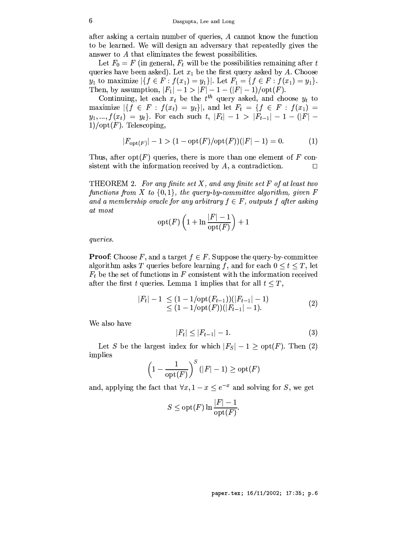after asking a certain number of queries, A cannot know the function to be learned. We will design an adversary that repeatedly gives the answer to A that eliminates the fewest possibilities.

Let  $F_0 = F$  (in general,  $F_t$  will be the possibilities remaining after t queries have been asked). Let  $x_1$  be the first query asked by A. Choose  $y_1$  to maximize  $|\{f \in F : f(x_1) = y_1\}|$ . Let  $F_1 = \{f \in F : f(x_1) = y_1\}$ . Then, by assumption,  $|F_1| - 1 > |F| - 1 - (|F| - 1) / \text{opt}(F)$ .

Continuing, let each  $x_t$  be the  $t^{th}$  query asked, and choose  $y_t$  to maximize  $|\{f \in F : f(x_t) = y_t\}|$ , and let  $F_t = \{f \in F : f(x_1) =$  $y_1, ..., f(x_t) = y_t$ . For each such t,  $|F_t| - 1 > |F_{t-1}| - 1 - (|F| 1)/opt(F)$ . Telescoping,

$$
|F_{\text{opt}(F)}| - 1 > (1 - \text{opt}(F)/\text{opt}(F))(|F| - 1) = 0.
$$
 (1)

Thus, after opt $(F)$  queries, there is more than one element of F consistent with the information received by  $A$ , a contradiction.  $\Box$ 

THEOREM 2. For any finite set  $X$ , and any finite set  $F$  of at least two functions from X to  $\{0,1\}$ , the query-by-committee algorithm, given F and a membership oracle for any arbitrary  $f \in F$ , outputs f after asking at most

$$
\mathrm{opt}(F)\left(1+\ln\frac{|F|-1}{\mathrm{opt}(F)}\right)+1
$$

*queries.* 

**Proof:** Choose F, and a target  $f \in F$ . Suppose the query-by-committee algorithm asks T queries before learning f, and for each  $0 \le t \le T$ , let  $F_t$  be the set of functions in F consistent with the information received after the first t queries. Lemma 1 implies that for all  $t \leq T$ ,

$$
|F_t| - 1 \le (1 - 1/\text{opt}(F_{t-1}))(|F_{t-1}| - 1) \le (1 - 1/\text{opt}(F))(|F_{t-1}| - 1).
$$
\n(2)

We also have

$$
|F_t| \le |F_{t-1}| - 1. \tag{3}
$$

Let S be the largest index for which  $|F_S| - 1 \geq \text{opt}(F)$ . Then (2) implies

$$
\left(1-\frac{1}{\mathrm{opt}(F)}\right)^S(|F|-1) \geq \mathrm{opt}(F)
$$

and, applying the fact that  $\forall x, 1 - x \le e^{-x}$  and solving for S, we get

$$
S \le \operatorname{opt}(F) \ln \frac{|F| - 1}{\operatorname{opt}(F)}.
$$

paper.tex; 16/11/2002; 17:35; p.6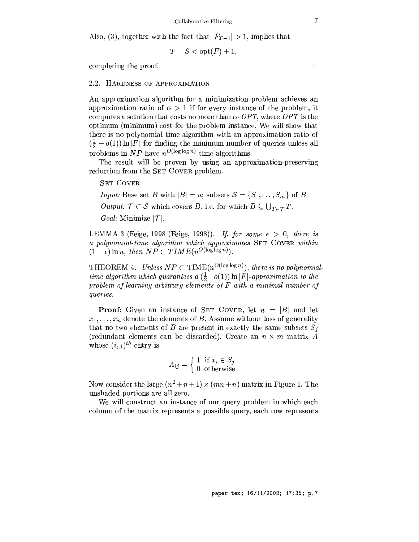Also, (3), together with the fact that  $|F_{T-1}| > 1$ , implies that

$$
T-S < \mathrm{opt}(F) + 1,
$$

completing the proof.

# 2.2. HARDNESS OF APPROXIMATION

An approximation algorithm for a minimization problem achieves an approximation ratio of  $\alpha > 1$  if for every instance of the problem, it computes a solution that costs no more than  $\alpha$  OPT, where OPT is the optimum (minimum) cost for the problem instance. We will show that there is no polynomial-time algorithm with an approximation ratio of  $(\frac{1}{2} - o(1)) \ln |F|$  for finding the minimum number of queries unless all problems in NP have  $n^{O(\log \log n)}$  time algorithms.

The result will be proven by using an approximation-preserving reduction from the SET COVER problem.

**SET COVER** 

*Input:* Base set *B* with  $|B| = n$ ; subsets  $S = \{S_1, \ldots, S_m\}$  of *B*.

Output:  $\mathcal{T} \subset \mathcal{S}$  which covers B, i.e. for which  $B \subseteq \bigcup_{T \in \mathcal{T}} T$ .

*Goal:* Minimize  $|\mathcal{T}|$ .

LEMMA 3 (Feige, 1998 (Feige, 1998)). If, for some  $\epsilon > 0$ , there is a polynomial-time algorithm which approximates SET COVER within  $(1-\epsilon)\ln n$ , then  $NP \subset TIME(n^{O(\log \log n)})$ .

THEOREM 4. Unless  $NP \subset TIME(n^{O(\log \log n)})$ , there is no polynomialtime algorithm which guarantees a  $(\frac{1}{2}-o(1)) \ln |F|$ -approximation to the problem of learning arbitrary elements of F with a minimal number of queries.

**Proof:** Given an instance of SET COVER, let  $n = |B|$  and let  $x_1, \ldots, x_n$  denote the elements of B. Assume without loss of generality that no two elements of B are present in exactly the same subsets  $S_i$ (redundant elements can be discarded). Create an  $n \times m$  matrix A whose  $(i, j)^{th}$  entry is

$$
A_{ij} = \left\{ \begin{array}{ll} 1 \; \; \text{if} \; x_i \in S_j \\ 0 \; \; \text{otherwise} \end{array} \right.
$$

Now consider the large  $(n^2 + n + 1) \times (mn + n)$  matrix in Figure 1. The unshaded portions are all zero.

We will construct an instance of our query problem in which each column of the matrix represents a possible query, each row represents

 $\overline{7}$ 

 $\Box$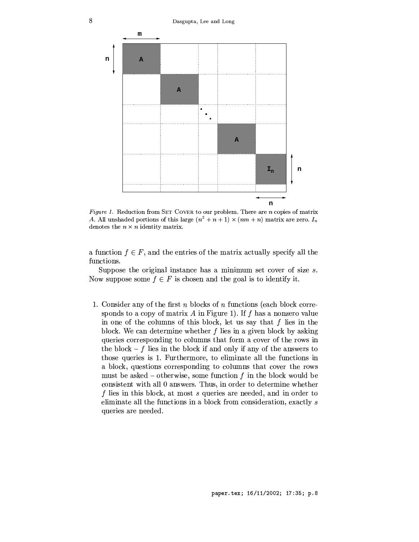

Figure 1. Reduction from SET COVER to our problem. There are  $n$  copies of matrix A. All unshaded portions of this large  $(n^2 + n + 1) \times (nm + n)$  matrix are zero.  $I_n$ denotes the  $n \times n$  identity matrix.

a function  $f \in F$ , and the entries of the matrix actually specify all the functions.

Suppose the original instance has a minimum set cover of size  $s$ . Now suppose some  $f \in F$  is chosen and the goal is to identify it.

1. Consider any of the first  $n$  blocks of  $n$  functions (each block corresponds to a copy of matrix  $A$  in Figure 1). If  $f$  has a nonzero value in one of the columns of this block, let us say that  $f$  lies in the block. We can determine whether  $f$  lies in a given block by asking queries corresponding to columns that form a cover of the rows in the block  $-f$  lies in the block if and only if any of the answers to those queries is 1. Furthermore, to eliminate all the functions in a block, questions corresponding to columns that cover the rows must be asked – otherwise, some function  $f$  in the block would be consistent with all 0 answers. Thus, in order to determine whether f lies in this block, at most s queries are needed, and in order to eliminate all the functions in a block from consideration, exactly s queries are needed.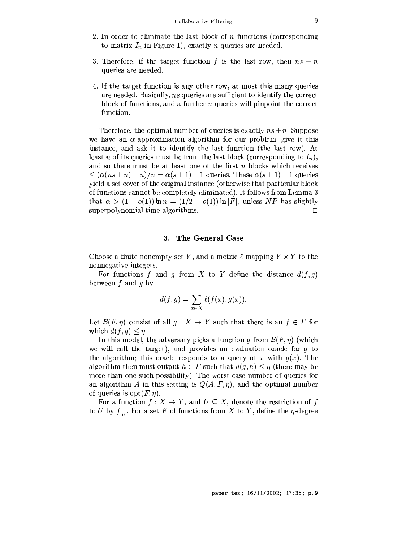- 2. In order to eliminate the last block of  $n$  functions (corresponding to matrix  $I_n$  in Figure 1), exactly *n* queries are needed.
- 3. Therefore, if the target function f is the last row, then  $ns + n$ queries are needed.
- 4. If the target function is any other row, at most this many queries are needed. Basically, ns queries are sufficient to identify the correct block of functions, and a further  $n$  queries will pinpoint the correct function.

Therefore, the optimal number of queries is exactly  $ns + n$ . Suppose we have an  $\alpha$ -approximation algorithm for our problem; give it this instance, and ask it to identify the last function (the last row). At least *n* of its queries must be from the last block (corresponding to  $I_n$ ), and so there must be at least one of the first  $n$  blocks which receives  $\leq (\alpha(n s+n)-n)/n = \alpha(s+1)-1$  queries. These  $\alpha(s+1)-1$  queries yield a set cover of the original instance (otherwise that particular block of functions cannot be completely eliminated). It follows from Lemma 3 that  $\alpha > (1 - o(1)) \ln n = (1/2 - o(1)) \ln |F|$ , unless NP has slightly superpolynomial-time algorithms.  $\Box$ 

#### 3. The General Case

Choose a finite nonempty set Y, and a metric  $\ell$  mapping  $Y \times Y$  to the nonnegative integers.

For functions f and g from X to Y define the distance  $d(f, g)$ between  $f$  and  $q$  by

$$
d(f,g)=\sum_{x\in X}\ell(f(x),g(x)).
$$

Let  $\mathcal{B}(F,\eta)$  consist of all  $g: X \to Y$  such that there is an  $f \in F$  for which  $d(f,g) \leq \eta$ .

In this model, the adversary picks a function q from  $\mathcal{B}(F,\eta)$  (which we will call the target), and provides an evaluation oracle for  $g$  to the algorithm; this oracle responds to a query of x with  $g(x)$ . The algorithm then must output  $h \in F$  such that  $d(g, h) \leq \eta$  (there may be more than one such possibility). The worst case number of queries for an algorithm A in this setting is  $Q(A, F, \eta)$ , and the optimal number of queries is  $opt(F, \eta)$ .

For a function  $f: X \to Y$ , and  $U \subseteq X$ , denote the restriction of f to U by  $f_{|U}$ . For a set F of functions from X to Y, define the  $\eta$ -degree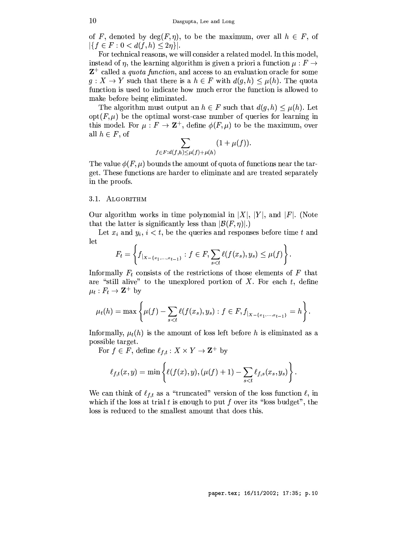of F, denoted by  $deg(F, \eta)$ , to be the maximum, over all  $h \in F$ , of  $|\{f \in F : 0 < d(f,h) \leq 2\eta\}|.$ 

For technical reasons, we will consider a related model. In this model, instead of  $\eta$ , the learning algorithm is given a priori a function  $\mu : F \to$  $\mathbf{Z}^+$  called a *quota function*, and access to an evaluation oracle for some  $g: X \to Y$  such that there is a  $h \in F$  with  $d(g, h) \leq \mu(h)$ . The quota function is used to indicate how much error the function is allowed to make before being eliminated.

The algorithm must output an  $h \in F$  such that  $d(q, h) \leq \mu(h)$ . Let  $opt(F, \mu)$  be the optimal worst-case number of queries for learning in this model. For  $\mu : F \to \mathbb{Z}^+$ , define  $\phi(F, \mu)$  to be the maximum, over all  $h \in F$ , of

$$
\sum_{f \in F:d(f,h) \le \mu(f) + \mu(h)} (1 + \mu(f))
$$

The value  $\phi(F,\mu)$  bounds the amount of quota of functions near the target. These functions are harder to eliminate and are treated separately in the proofs.

### 3.1. ALGORITHM

Our algorithm works in time polynomial in |X|, |Y|, and |F|. (Note that the latter is significantly less than  $|\mathcal{B}(F,\eta)|$ .

Let  $x_i$  and  $y_i$ ,  $i < t$ , be the queries and responses before time t and let  $\overline{ }$ 

$$
F_t = \left\{ f_{|X - \{x_1, \ldots, x_{t-1}\}} : f \in F, \sum_{s < t} \ell(f(x_s), y_s) \leq \mu(f) \right\}.
$$

Informally  $F_t$  consists of the restrictions of those elements of  $F$  that are "still alive" to the unexplored portion of  $X$ . For each  $t$ , define  $\mu_t : F_t \to \mathbf{Z}^+$  by

$$
\mu_t(h) = \max \left\{ \mu(f) - \sum_{s < t} \ell(f(x_s), y_s) : f \in F, f_{|X - \{x_1, \ldots, x_{t-1}\}} = h \right\}.
$$

Informally,  $\mu_t(h)$  is the amount of loss left before h is eliminated as a possible target.

For  $f \in \overline{F}$ , define  $\ell_{f,t}: X \times Y \to \mathbf{Z}^+$  by

$$
\ell_{f,t}(x,y) = \min \left\{ \ell(f(x),y), (\mu(f) + 1) - \sum_{s < t} \ell_{f,s}(x_s, y_s) \right\}.
$$

We can think of  $\ell_{f,t}$  as a "truncated" version of the loss function  $\ell$ , in which if the loss at trial t is enough to put f over its "loss budget", the loss is reduced to the smallest amount that does this.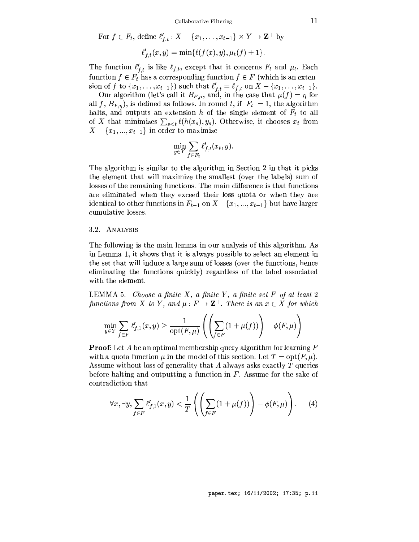Collaborative Filtering

For 
$$
f \in F_t
$$
, define  $\ell'_{f,t} : X - \{x_1, \ldots, x_{t-1}\} \times Y \to \mathbb{Z}^+$  by  

$$
\ell'_{f,t}(x, y) = \min{\ell(f(x), y), \mu_t(f) + 1}.
$$

The function  $\ell'_{f,t}$  is like  $\ell_{f,t}$ , except that it concerns  $F_t$  and  $\mu_t$ . Each function  $f \in F_t$  has a corresponding function  $\bar{f} \in F$  (which is an extension of f to  $\{x_1, \ldots, x_{t-1}\}$  such that  $\ell'_{f,t} = \ell_{\bar{f},t}$  on  $X - \{x_1, \ldots, x_{t-1}\}$ .<br>Our algorithm (let's call it  $B_{F,\mu}$ , and, in the case that  $\mu(f) = \eta$  for

all f,  $B_{F,\eta}$ , is defined as follows. In round t, if  $|F_t| = 1$ , the algorithm halts, and outputs an extension h of the single element of  $F_t$  to all of X that minimizes  $\sum_{s \leq t} \ell(h(x_s), y_s)$ . Otherwise, it chooses  $x_t$  from  $X - \{x_1, ..., x_{t-1}\}\$ in order to maximize

$$
\min_{y \in Y} \sum_{f \in F_t} \ell'_{f,t}(x_t, y).
$$

The algorithm is similar to the algorithm in Section 2 in that it picks the element that will maximize the smallest (over the labels) sum of losses of the remaining functions. The main difference is that functions are eliminated when they exceed their loss quota or when they are identical to other functions in  $F_{t-1}$  on  $X - \{x_1, ..., x_{t-1}\}\)$  but have larger cumulative losses.

### 3.2. ANALYSIS

The following is the main lemma in our analysis of this algorithm. As in Lemma 1, it shows that it is always possible to select an element in the set that will induce a large sum of losses (over the functions, hence eliminating the functions quickly) regardless of the label associated with the element.

LEMMA 5. Choose a finite  $X$ , a finite  $Y$ , a finite set  $F$  of at least 2 functions from X to Y, and  $\mu : F \to \mathbb{Z}^+$ . There is an  $x \in X$  for which

$$
\min_{y \in Y} \sum_{f \in F} \ell'_{f,1}(x, y) \ge \frac{1}{\mathrm{opt}(F, \mu)} \left( \left( \sum_{f \in F} (1 + \mu(f)) \right) - \phi(F, \mu) \right)
$$

**Proof:** Let A be an optimal membership query algorithm for learning  $F$ with a quota function  $\mu$  in the model of this section. Let  $T = opt(F, \mu)$ . Assume without loss of generality that A always asks exactly  $T$  queries before halting and outputting a function in  $F$ . Assume for the sake of contradiction that

$$
\forall x, \exists y, \sum_{f \in F} \ell'_{f,1}(x, y) < \frac{1}{T} \left( \left( \sum_{f \in F} (1 + \mu(f)) \right) - \phi(F, \mu) \right). \tag{4}
$$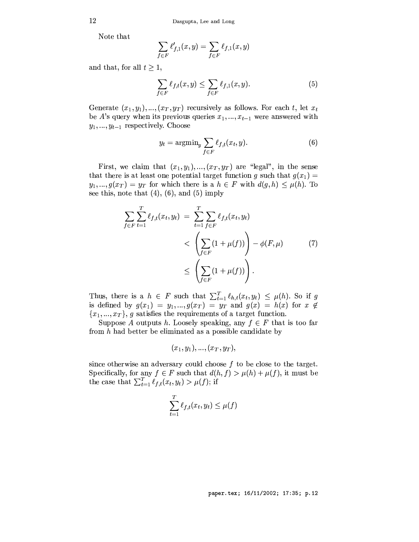Note that

$$
\sum_{f\in F} \ell'_{f,1}(x,y)=\sum_{f\in F} \ell_{f,1}(x,y)
$$

and that, for all  $t \geq 1$ ,

$$
\sum_{f \in F} \ell_{f,t}(x, y) \le \sum_{f \in F} \ell_{f,1}(x, y). \tag{5}
$$

Generate  $(x_1, y_1), ..., (x_T, y_T)$  recursively as follows. For each t, let  $x_t$ be A's query when its previous queries  $x_1, ..., x_{t-1}$  were answered with  $y_1, ..., y_{t-1}$  respectively. Choose

$$
y_t = \operatorname{argmin}_y \sum_{f \in F} \ell_{f,t}(x_t, y). \tag{6}
$$

First, we claim that  $(x_1, y_1), ..., (x_T, y_T)$  are "legal", in the sense that there is at least one potential target function g such that  $g(x_1)$  =  $y_1, ..., g(x_T) = y_T$  for which there is a  $h \in F$  with  $d(g, h) \leq \mu(h)$ . To see this, note that  $(4)$ ,  $(6)$ , and  $(5)$  imply

$$
\sum_{f \in F} \sum_{t=1}^{T} \ell_{f,t}(x_t, y_t) = \sum_{t=1}^{T} \sum_{f \in F} \ell_{f,t}(x_t, y_t) \n< \left( \sum_{f \in F} (1 + \mu(f)) \right) - \phi(F, \mu) \tag{7}
$$
\n
$$
\le \left( \sum_{f \in F} (1 + \mu(f)) \right).
$$

Thus, there is a  $h \in F$  such that  $\sum_{t=1}^{T} \ell_{h,t}(x_t, y_t) \leq \mu(h)$ . So if g is defined by  $g(x_1) = y_1, ..., g(x_T) = y_T$  and  $g(x) = h(x)$  for  $x \notin$  ${x_1, ..., x_T}$ , g satisfies the requirements of a target function.

Suppose A outputs h. Loosely speaking, any  $f \in F$  that is too far from  $h$  had better be eliminated as a possible candidate by

$$
(x_1, y_1), ..., (x_T, y_T),
$$

since otherwise an adversary could choose  $f$  to be close to the target. Specifically, for any  $f \in F$  such that  $d(h, f) > \mu(h) + \mu(f)$ , it must be the case that  $\sum_{t=1}^T \ell_{f,t}(x_t, y_t) > \mu(f)$ ; if

$$
\sum_{t=1}^{T} \ell_{f,t}(x_t, y_t) \leq \mu(f)
$$

 $12\,$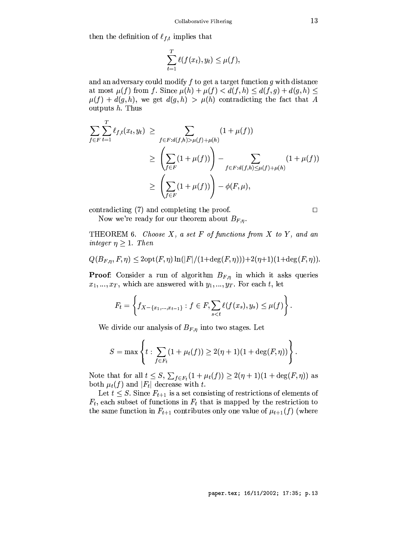then the definition of  $\ell_{f,t}$  implies that

$$
\sum_{t=1}^T \ell(f(x_t), y_t) \leq \mu(f).
$$

and an adversary could modify  $f$  to get a target function  $g$  with distance at most  $\mu(f)$  from f. Since  $\mu(h) + \mu(f) < d(f, h) \leq d(f, g) + d(g, h) \leq$  $\mu(f) + d(g, h)$ , we get  $d(g, h) > \mu(h)$  contradicting the fact that A outputs  $h$ . Thus

$$
\sum_{f \in F} \sum_{t=1}^{T} \ell_{f,t}(x_t, y_t) \ge \sum_{f \in F:d(f,h) > \mu(f) + \mu(h)} (1 + \mu(f))
$$
\n
$$
\ge \left(\sum_{f \in F} (1 + \mu(f))\right) - \sum_{f \in F:d(f,h) \le \mu(f) + \mu(h)} (1 + \mu(f))
$$
\n
$$
\ge \left(\sum_{f \in F} (1 + \mu(f))\right) - \phi(F, \mu),
$$

contradicting (7) and completing the proof.

Now we're ready for our theorem about  $B_{F,n}$ .

THEOREM 6. Choose  $X$ , a set  $F$  of functions from  $X$  to  $Y$ , and an integer  $\eta \geq 1$ . Then

$$
Q(B_{F,\eta}, F, \eta) \le 2\mathrm{opt}(F,\eta)\ln(|F|/(1+\deg(F,\eta)))+2(\eta+1)(1+\deg(F,\eta)).
$$

**Proof:** Consider a run of algorithm  $B_{F,\eta}$  in which it asks queries  $x_1, ..., x_T$ , which are answered with  $y_1, ..., y_T$ . For each t, let

$$
F_t = \left\{ f_{X - \{x_1, ..., x_{t-1}\}} : f \in F, \sum_{s < t} \ell(f(x_s), y_s) \leq \mu(f) \right\}.
$$

We divide our analysis of  $B_{F,\eta}$  into two stages. Let

$$
S = \max \left\{ t : \sum_{f \in F_t} (1 + \mu_t(f)) \ge 2(\eta + 1)(1 + \deg(F, \eta)) \right\}
$$

Note that for all  $t \leq S$ ,  $\sum_{f \in F_t} (1 + \mu_t(f)) \geq 2(\eta + 1)(1 + \deg(F, \eta))$  as both  $\mu_t(f)$  and  $|F_t|$  decrease with  $t$ .

Let  $t \leq S$ . Since  $F_{t+1}$  is a set consisting of restrictions of elements of  $F_t$ , each subset of functions in  $F_t$  that is mapped by the restriction to the same function in  $F_{t+1}$  contributes only one value of  $\mu_{t+1}(f)$  (where

 $\Box$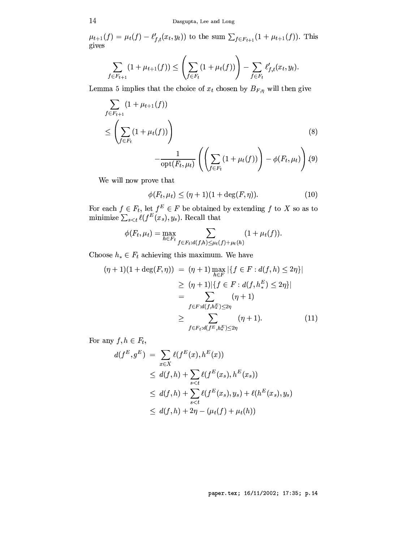$\mu_{t+1}(f) = \mu_t(f) - \ell'_{f,t}(x_t, y_t)$  to the sum  $\sum_{f \in F_{t+1}} (1 + \mu_{t+1}(f))$ . This gives

$$
\sum_{f \in F_{t+1}} (1 + \mu_{t+1}(f)) \leq \left( \sum_{f \in F_t} (1 + \mu_t(f)) \right) - \sum_{f \in F_t} \ell'_{f,t}(x_t, y_t).
$$

Lemma 5 implies that the choice of  $x_t$  chosen by  $B_{F,\eta}$  will then give

$$
\sum_{f \in F_{t+1}} (1 + \mu_{t+1}(f))
$$
\n
$$
\leq \left( \sum_{f \in F_t} (1 + \mu_t(f)) \right)
$$
\n
$$
- \frac{1}{\text{opt}(F_t, \mu_t)} \left( \left( \sum_{f \in F_t} (1 + \mu_t(f)) \right) - \phi(F_t, \mu_t) \right) (9)
$$

We will now prove that

$$
\phi(F_t, \mu_t) \le (\eta + 1)(1 + \deg(F, \eta)). \tag{10}
$$

For each  $f \in F_t$ , let  $f^E \in F$  be obtained by extending  $f$  to  $X$  so as to minimize  $\sum_{s \lt t} \ell(f^E(x_s), y_s)$ . Recall that

$$
\phi(F_t, \mu_t) = \max_{h \in F_t} \sum_{f \in F_t : d(f,h) \leq \mu_t(f) + \mu_t(h)} (1 + \mu_t(f)).
$$

Choose  $h_* \in F_t$  achieving this maximum. We have

$$
(\eta + 1)(1 + \deg(F, \eta)) = (\eta + 1) \max_{h \in F} |\{f \in F : d(f, h) \le 2\eta\}|
$$
  
\n
$$
\geq (\eta + 1)|\{f \in F : d(f, h^E_*) \le 2\eta\}|
$$
  
\n
$$
= \sum_{f \in F : d(f, h^E_*) \le 2\eta} (\eta + 1)
$$
  
\n
$$
\geq \sum_{f \in F_t : d(f^E, h^E_*) \le 2\eta} (\eta + 1).
$$
 (11)

For any  $f, h \in F_t$ ,

$$
d(f^{E}, g^{E}) = \sum_{x \in X} \ell(f^{E}(x), h^{E}(x))
$$
  
\n
$$
\leq d(f, h) + \sum_{s < t} \ell(f^{E}(x_{s}), h^{E}(x_{s}))
$$
  
\n
$$
\leq d(f, h) + \sum_{s < t} \ell(f^{E}(x_{s}), y_{s}) + \ell(h^{E}(x_{s}), y_{s})
$$
  
\n
$$
\leq d(f, h) + 2\eta - (\mu_{t}(f) + \mu_{t}(h))
$$

14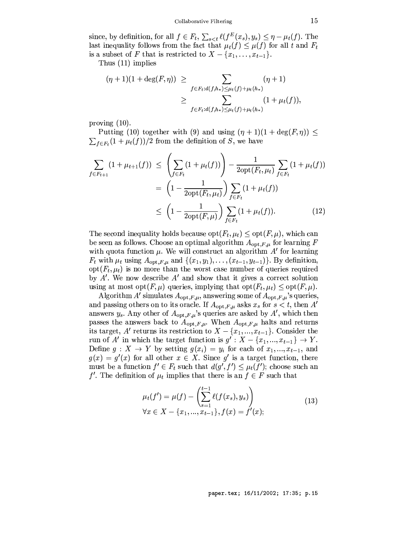since, by definition, for all  $f \in F_t$ ,  $\sum_{s \le t} \ell(f^E(x_s), y_s) \le \eta - \mu_t(f)$ . The last inequality follows from the fact that  $\mu_t(f) \leq \mu(f)$  for all t and  $F_t$ is a subset of F that is restricted to  $X - \{x_1, \ldots, x_{t-1}\}.$ 

Thus  $(11)$  implies

$$
(\eta + 1)(1 + \deg(F, \eta)) \ge \sum_{f \in F_t : d(f, h_*) \le \mu_t(f) + \mu_t(h_*)} (\eta + 1)
$$
  
 
$$
\ge \sum_{f \in F_t : d(f, h_*) \le \mu_t(f) + \mu_t(h_*)} (\eta + \mu_t(f)),
$$

proving  $(10)$ .

Putting (10) together with (9) and using  $(\eta + 1)(1 + \deg(F, \eta)) \le$  $\sum_{f \in F_t} (1 + \mu_t(f))/2$  from the definition of S, we have

$$
\sum_{f \in F_{t+1}} (1 + \mu_{t+1}(f)) \leq \left( \sum_{f \in F_t} (1 + \mu_t(f)) \right) - \frac{1}{2\mathrm{opt}(F_t, \mu_t)} \sum_{f \in F_t} (1 + \mu_t(f))
$$
\n
$$
= \left( 1 - \frac{1}{2\mathrm{opt}(F_t, \mu_t)} \right) \sum_{f \in F_t} (1 + \mu_t(f))
$$
\n
$$
\leq \left( 1 - \frac{1}{2\mathrm{opt}(F, \mu)} \right) \sum_{f \in F_t} (1 + \mu_t(f)). \tag{12}
$$

The second inequality holds because  $opt(F_t, \mu_t) \le opt(F, \mu)$ , which can be seen as follows. Choose an optimal algorithm  $A_{\text{opt},F,\mu}$  for learning F with quota function  $\mu$ . We will construct an algorithm  $A'$  for learning  $F_t$  with  $\mu_t$  using  $A_{\text{opt},F,\mu}$  and  $\{(x_1,y_1),\ldots,(x_{t-1},y_{t-1})\}$ . By definition,  $opt(F_t, \mu_t)$  is no more than the worst case number of queries required by  $A'$ . We now describe  $A'$  and show that it gives a correct solution using at most opt $(F, \mu)$  queries, implying that opt $(F_t, \mu_t) \le$  opt $(F, \mu)$ .

Algorithm A' simulates  $A_{\text{opt},F,\mu}$ , answering some of  $A_{\text{opt},F,\mu}$ 's queries, and passing others on to its oracle. If  $A_{{\rm opt},F,\mu}$  asks  $x_s$  for  $s < t,$  then  $A'$ answers  $y_s$ . Any other of  $A_{\text{opt},F,\mu}$ 's queries are asked by A', which then passes the answers back to  $A_{\text{opt},F,\mu}$ . When  $A_{\text{opt},F,\mu}$  halts and returns its target, A' returns its restriction to  $X - \{x_1, ..., x_{t-1}\}\)$ . Consider the run of A' in which the target function is  $g': X - \{x_1, ..., x_{t-1}\} \rightarrow Y$ . Define  $g: X \to Y$  by setting  $g(x_i) = y_i$  for each of  $x_1, ..., x_{t-1}$ , and  $g(x) = g'(x)$  for all other  $x \in X$ . Since g' is a target function, there must be a function  $f' \in F_t$  such that  $d(g', f') \leq \mu_t(f')$ ; choose such an f'. The definition of  $\mu_t$  implies that there is an  $f \in F$  such that

$$
\mu_t(f') = \mu(f) - \left(\sum_{s=1}^{t-1} \ell(f(x_s), y_s)\right)
$$
  
\n
$$
\forall x \in X - \{x_1, ..., x_{t-1}\}, f(x) = f'(x);
$$
\n(13)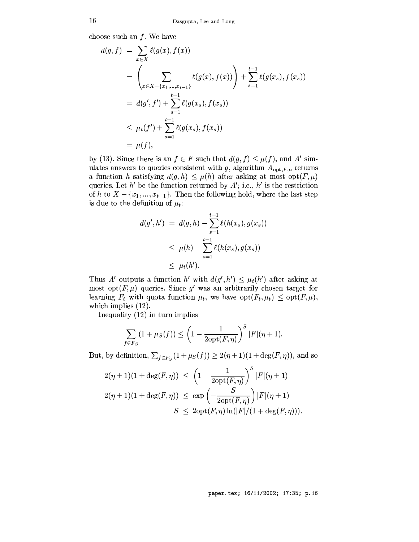choose such an  $f$ . We have

$$
d(g, f) = \sum_{x \in X} \ell(g(x), f(x))
$$
  
= 
$$
\left(\sum_{x \in X - \{x_1, \dots, x_{t-1}\}} \ell(g(x), f(x))\right) + \sum_{s=1}^{t-1} \ell(g(x_s), f(x_s))
$$
  
= 
$$
d(g', f') + \sum_{s=1}^{t-1} \ell(g(x_s), f(x_s))
$$
  

$$
\leq \mu_t(f') + \sum_{s=1}^{t-1} \ell(g(x_s), f(x_s))
$$
  
= 
$$
\mu(f),
$$

by (13). Since there is an  $f \in F$  such that  $d(g, f) \leq \mu(f)$ , and A' simulates answers to queries consistent with g, algorithm  $A_{\text{opt},F,\mu}$  returns a function h satisfying  $d(g, h) \leq \mu(h)$  after asking at most  $opt(F, \mu)$ queries. Let  $h'$  be the function returned by  $A'$ ; i.e.,  $h'$  is the restriction of h to  $X - \{x_1, ..., x_{t-1}\}$ . Then the following hold, where the last step is due to the definition of  $\mu_t$ :

$$
d(g', h') = d(g, h) - \sum_{s=1}^{t-1} \ell(h(x_s), g(x_s))
$$
  

$$
\leq \mu(h) - \sum_{s=1}^{t-1} \ell(h(x_s), g(x_s))
$$
  

$$
\leq \mu_t(h').
$$

Thus A' outputs a function h' with  $d(g', h') \leq \mu_t(h')$  after asking at most opt $(F, \mu)$  queries. Since g' was an arbitrarily chosen target for learning  $F_t$  with quota function  $\mu_t$ , we have  $opt(F_t, \mu_t) \leq opt(F, \mu)$ , which implies  $(12)$ .

Inequality  $(12)$  in turn implies

$$
\sum_{f\in F_S}(1+\mu_S(f))\leq \left(1-\frac{1}{2\mathrm{opt}(F,\eta)}\right)^S|F|(\eta+1).
$$

But, by definition,  $\sum_{f \in F_S} (1 + \mu_S(f)) \geq 2(\eta + 1)(1 + \deg(F, \eta))$ , and so

$$
2(\eta + 1)(1 + \deg(F, \eta)) \le \left(1 - \frac{1}{2\mathrm{opt}(F, \eta)}\right)^S |F|(\eta + 1)
$$
  

$$
2(\eta + 1)(1 + \deg(F, \eta)) \le \exp\left(-\frac{S}{2\mathrm{opt}(F, \eta)}\right)|F|(\eta + 1)
$$
  

$$
S \le 2\mathrm{opt}(F, \eta) \ln(|F|/(1 + \deg(F, \eta))).
$$

paper.tex; 16/11/2002; 17:35; p.16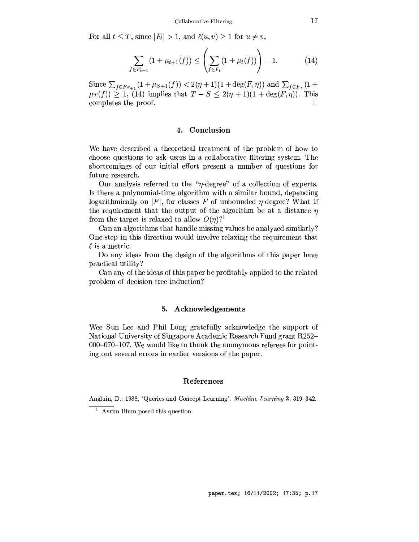For all  $t \leq T$ , since  $|F_t| > 1$ , and  $\ell(u, v) \geq 1$  for  $u \neq v$ ,

$$
\sum_{f \in F_{t+1}} (1 + \mu_{t+1}(f)) \le \left( \sum_{f \in F_t} (1 + \mu_t(f)) \right) - 1. \tag{14}
$$

Since  $\sum_{f \in F_{S+1}} (1 + \mu_{S+1}(f)) < 2(\eta + 1)(1 + \deg(F, \eta))$  and  $\sum_{f \in F_T} (1 +$  $\mu_T(f)$   $\geq$  1, (14) implies that  $T - S \leq 2(\eta + 1)(1 + \deg(F, \eta))$ . This completes the proof.  $\Box$ 

# 4. Conclusion

We have described a theoretical treatment of the problem of how to choose questions to ask users in a collaborative filtering system. The shortcomings of our initial effort present a number of questions for future research.

Our analysis referred to the " $\eta$ -degree" of a collection of experts. Is there a polynomial-time algorithm with a similar bound, depending logarithmically on |F|, for classes F of unbounded  $\eta$ -degree? What if the requirement that the output of the algorithm be at a distance  $\eta$ from the target is relaxed to allow  $O(\eta)$ ?

Can an algorithms that handle missing values be analyzed similarly? One step in this direction would involve relaxing the requirement that  $\ell$  is a metric.

Do any ideas from the design of the algorithms of this paper have practical utility?

Can any of the ideas of this paper be profitably applied to the related problem of decision tree induction?

# 5. Acknowledgements

Wee Sun Lee and Phil Long gratefully acknowledge the support of National University of Singapore Academic Research Fund grant R252- $000-070-107$ . We would like to thank the anonymous referees for pointing out several errors in earlier versions of the paper.

### References

Angluin, D.: 1988, 'Queries and Concept Learning'. Machine Learning 2, 319-342.

 $\frac{1}{2}$  Ayrim Blum posed this question.